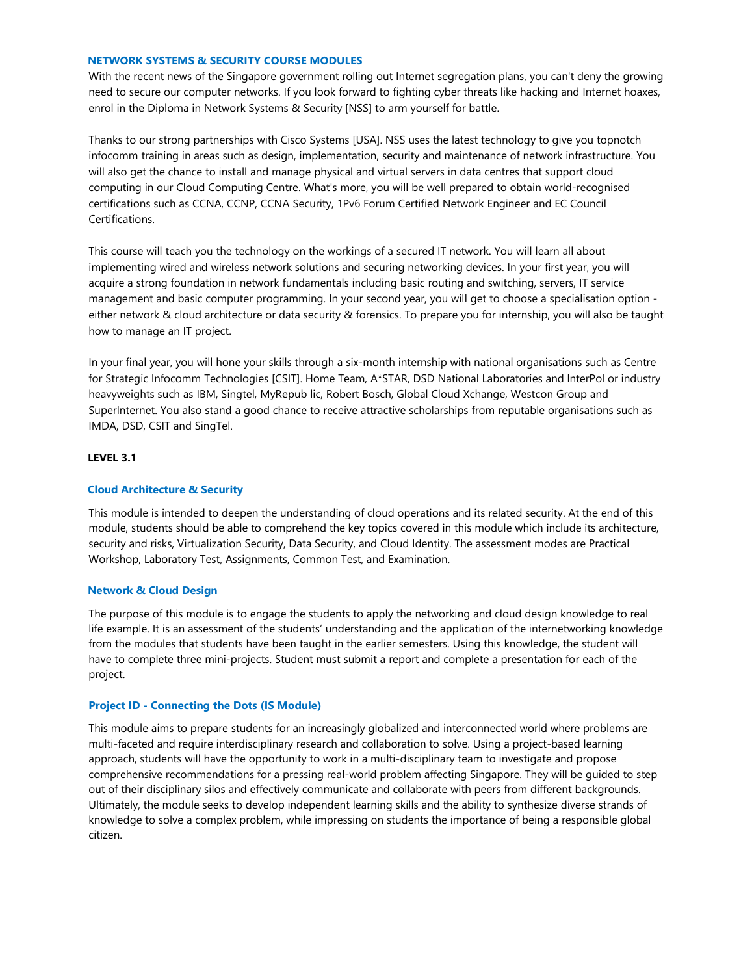# **NETWORK SYSTEMS & SECURITY COURSE MODULES**

With the recent news of the Singapore government rolling out Internet segregation plans, you can't deny the growing need to secure our computer networks. If you look forward to fighting cyber threats like hacking and Internet hoaxes, enrol in the Diploma in Network Systems & Security [NSS] to arm yourself for battle.

Thanks to our strong partnerships with Cisco Systems [USA]. NSS uses the latest technology to give you topnotch infocomm training in areas such as design, implementation, security and maintenance of network infrastructure. You will also get the chance to install and manage physical and virtual servers in data centres that support cloud computing in our Cloud Computing Centre. What's more, you will be well prepared to obtain world-recognised certifications such as CCNA, CCNP, CCNA Security, 1Pv6 Forum Certified Network Engineer and EC Council Certifications.

This course will teach you the technology on the workings of a secured IT network. You will learn all about implementing wired and wireless network solutions and securing networking devices. In your first year, you will acquire a strong foundation in network fundamentals including basic routing and switching, servers, IT service management and basic computer programming. In your second year, you will get to choose a specialisation option either network & cloud architecture or data security & forensics. To prepare you for internship, you will also be taught how to manage an IT project.

In your final year, you will hone your skills through a six-month internship with national organisations such as Centre for Strategic lnfocomm Technologies [CSIT]. Home Team, A\*STAR, DSD National Laboratories and lnterPol or industry heavyweights such as IBM, Singtel, MyRepub lic, Robert Bosch, Global Cloud Xchange, Westcon Group and Superlnternet. You also stand a good chance to receive attractive scholarships from reputable organisations such as IMDA, DSD, CSIT and SingTel.

# **LEVEL 3.1**

# **Cloud Architecture & Security**

This module is intended to deepen the understanding of cloud operations and its related security. At the end of this module, students should be able to comprehend the key topics covered in this module which include its architecture, security and risks, Virtualization Security, Data Security, and Cloud Identity. The assessment modes are Practical Workshop, Laboratory Test, Assignments, Common Test, and Examination.

## **Network & Cloud Design**

The purpose of this module is to engage the students to apply the networking and cloud design knowledge to real life example. It is an assessment of the students' understanding and the application of the internetworking knowledge from the modules that students have been taught in the earlier semesters. Using this knowledge, the student will have to complete three mini-projects. Student must submit a report and complete a presentation for each of the project.

## **Project ID - Connecting the Dots (IS Module)**

This module aims to prepare students for an increasingly globalized and interconnected world where problems are multi-faceted and require interdisciplinary research and collaboration to solve. Using a project-based learning approach, students will have the opportunity to work in a multi-disciplinary team to investigate and propose comprehensive recommendations for a pressing real-world problem affecting Singapore. They will be guided to step out of their disciplinary silos and effectively communicate and collaborate with peers from different backgrounds. Ultimately, the module seeks to develop independent learning skills and the ability to synthesize diverse strands of knowledge to solve a complex problem, while impressing on students the importance of being a responsible global citizen.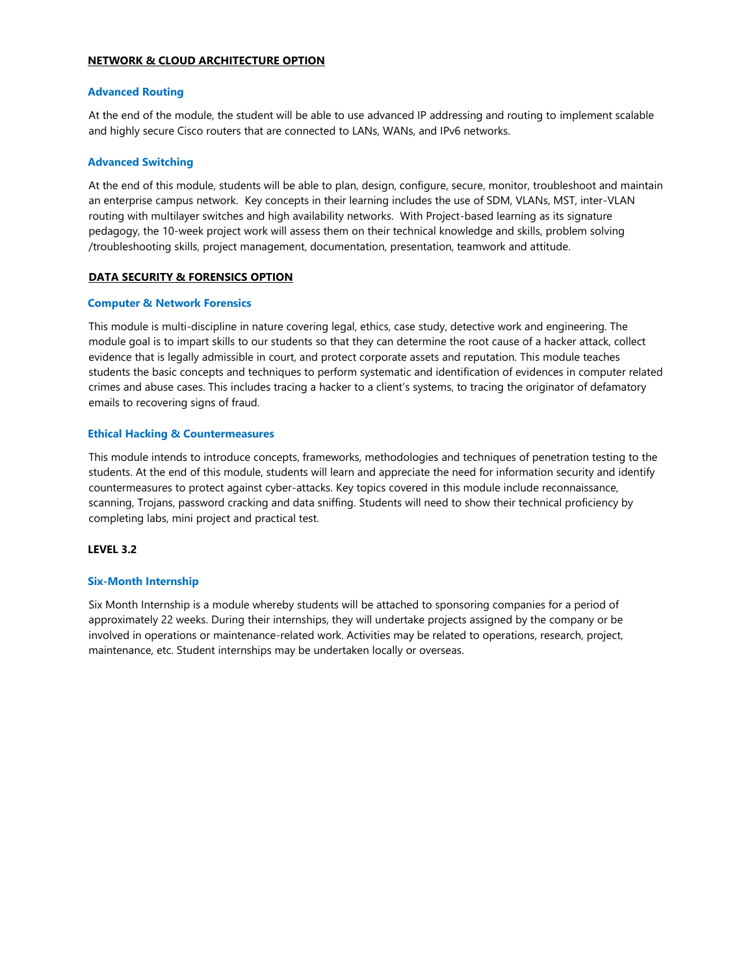## **NETWORK & CLOUD ARCHITECTURE OPTION**

#### **Advanced Routing**

At the end of the module, the student will be able to use advanced IP addressing and routing to implement scalable and highly secure Cisco routers that are connected to LANs, WANs, and IPv6 networks.

#### **Advanced Switching**

At the end of this module, students will be able to plan, design, configure, secure, monitor, troubleshoot and maintain an enterprise campus network. Key concepts in their learning includes the use of SDM, VLANs, MST, inter-VLAN routing with multilayer switches and high availability networks. With Project-based learning as its signature pedagogy, the 10-week project work will assess them on their technical knowledge and skills, problem solving /troubleshooting skills, project management, documentation, presentation, teamwork and attitude.

#### **DATA SECURITY & FORENSICS OPTION**

#### **Computer & Network Forensics**

This module is multi-discipline in nature covering legal, ethics, case study, detective work and engineering. The module goal is to impart skills to our students so that they can determine the root cause of a hacker attack, collect evidence that is legally admissible in court, and protect corporate assets and reputation. This module teaches students the basic concepts and techniques to perform systematic and identification of evidences in computer related crimes and abuse cases. This includes tracing a hacker to a client's systems, to tracing the originator of defamatory emails to recovering signs of fraud.

#### **Ethical Hacking & Countermeasures**

This module intends to introduce concepts, frameworks, methodologies and techniques of penetration testing to the students. At the end of this module, students will learn and appreciate the need for information security and identify countermeasures to protect against cyber-attacks. Key topics covered in this module include reconnaissance, scanning, Trojans, password cracking and data sniffing. Students will need to show their technical proficiency by completing labs, mini project and practical test.

## **LEVEL 3.2**

#### **Six-Month Internship**

Six Month Internship is a module whereby students will be attached to sponsoring companies for a period of approximately 22 weeks. During their internships, they will undertake projects assigned by the company or be involved in operations or maintenance-related work. Activities may be related to operations, research, project, maintenance, etc. Student internships may be undertaken locally or overseas.